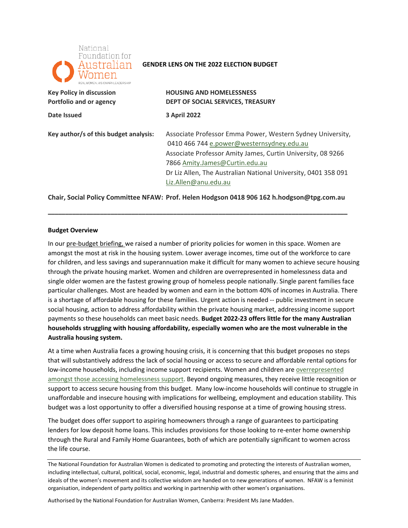

#### **GENDER LENS ON THE 2022 ELECTION BUDGET**

| <b>Key Policy in discussion</b>       | <b>HOUSING AND HOMELESSNESS</b>                                |
|---------------------------------------|----------------------------------------------------------------|
| Portfolio and or agency               | DEPT OF SOCIAL SERVICES, TREASURY                              |
| Date Issued                           | <b>3 April 2022</b>                                            |
| Key author/s of this budget analysis: | Associate Professor Emma Power, Western Sydney University,     |
|                                       | 0410 466 744 e.power@westernsydney.edu.au                      |
|                                       | Associate Professor Amity James, Curtin University, 08 9266    |
|                                       | 7866 Amity.James@Curtin.edu.au                                 |
|                                       | Dr Liz Allen, The Australian National University, 0401 358 091 |
|                                       | Liz.Allen@anu.edu.au                                           |

**Chair, Social Policy Committee NFAW: Prof. Helen Hodgson 0418 906 162 [h.hodgson@tpg.com.au](mailto:h.hodgson@tpg.com.au)** 

**\_\_\_\_\_\_\_\_\_\_\_\_\_\_\_\_\_\_\_\_\_\_\_\_\_\_\_\_\_\_\_\_\_\_\_\_\_\_\_\_\_\_\_\_\_\_\_\_\_\_\_\_\_\_\_\_\_\_\_\_\_\_\_\_\_\_\_\_\_\_\_\_\_\_\_\_\_\_\_\_\_\_\_\_\_\_** 

#### **Budget Overview**

In our pre-budget briefing, we raised a number of priority policies for women in this space. Women are amongst the most at risk in the housing system. Lower average incomes, time out of the workforce to care for children, and less savings and superannuation make it difficult for many women to achieve secure housing through the private housing market. Women and children are overrepresented in homelessness data and single older women are the fastest growing group of homeless people nationally. Single parent families face particular challenges. Most are headed by women and earn in the bottom 40% of incomes in Australia. There is a shortage of affordable housing for these families. Urgent action is needed -- public investment in secure social housing, action to address affordability within the private housing market, addressing income support payments so these households can meet basic needs. **Budget 2022-23 offers little for the many Australian households struggling with housing affordability, especially women who are the most vulnerable in the Australia housing system.** 

 At a time when Australia faces a growing housing crisis, it is concerning that this budget proposes no steps that will substantively address the lack of social housing or access to secure and affordable rental options for low-income households, including income support recipients. Women and children are **overrepresented** [amongst those accessing homelessness support.](https://www.aihw.gov.au/reports/australias-welfare/homelessness-and-homelessness-services) Beyond ongoing measures, they receive little recognition or support to access secure housing from this budget. Many low-income households will continue to struggle in unaffordable and insecure housing with implications for wellbeing, employment and education stability. This budget was a lost opportunity to offer a diversified housing response at a time of growing housing stress.

 The budget does offer support to aspiring homeowners through a range of guarantees to participating lenders for low deposit home loans. This includes provisions for those looking to re-enter home ownership through the Rural and Family Home Guarantees, both of which are potentially significant to women across the life course.

Authorised by the National Foundation for Australian Women, Canberra: President Ms Jane Madden.

The National Foundation for Australian Women is dedicated to promoting and protecting the interests of Australian women, including intellectual, cultural, political, social, economic, legal, industrial and domestic spheres, and ensuring that the aims and ideals of the women's movement and its collective wisdom are handed on to new generations of women. NFAW is a feminist organisation, independent of party politics and working in partnership with other women's organisations.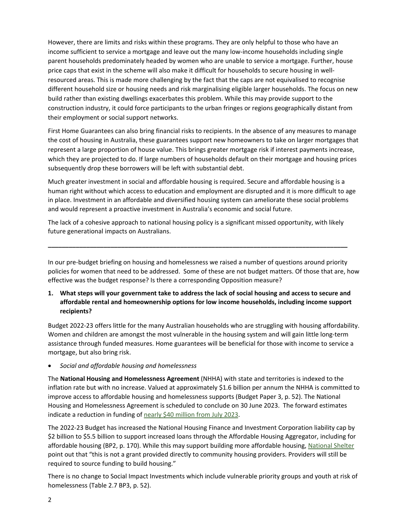However, there are limits and risks within these programs. They are only helpful to those who have an income sufficient to service a mortgage and leave out the many low-income households including single parent households predominately headed by women who are unable to service a mortgage. Further, house price caps that exist in the scheme will also make it difficult for households to secure housing in well- resourced areas. This is made more challenging by the fact that the caps are not equivalised to recognise build rather than existing dwellings exacerbates this problem. While this may provide support to the construction industry, it could force participants to the urban fringes or regions geographically distant from their employment or social support networks. different household size or housing needs and risk marginalising eligible larger households. The focus on new

their employment or social support networks.<br>First Home Guarantees can also bring financial risks to recipients. In the absence of any measures to manage the cost of housing in Australia, these guarantees support new homeowners to take on larger mortgages that represent a large proportion of house value. This brings greater mortgage risk if interest payments increase, which they are projected to do. If large numbers of households default on their mortgage and housing prices subsequently drop these borrowers will be left with substantial debt.

 Much greater investment in social and affordable housing is required. Secure and affordable housing is a human right without which access to education and employment are disrupted and it is more difficult to age in place. Investment in an affordable and diversified housing system can ameliorate these social problems and would represent a proactive investment in Australia's economic and social future.

 The lack of a cohesive approach to national housing policy is a significant missed opportunity, with likely future generational impacts on Australians.

**\_\_\_\_\_\_\_\_\_\_\_\_\_\_\_\_\_\_\_\_\_\_\_\_\_\_\_\_\_\_\_\_\_\_\_\_\_\_\_\_\_\_\_\_\_\_\_\_\_\_\_\_\_\_\_\_\_\_\_\_\_\_\_\_\_\_\_\_\_\_\_\_\_\_\_\_\_\_\_\_\_\_\_\_\_\_** 

 In our pre-budget briefing on housing and homelessness we raised a number of questions around priority policies for women that need to be addressed. Some of these are not budget matters. Of those that are, how effective was the budget response? Is there a corresponding Opposition measure?

 **1. What steps will your government take to address the lack of social housing and access to secure and affordable rental and homeownership options for low income households, including income support recipients?** 

 Budget 2022-23 offers little for the many Australian households who are struggling with housing affordability. Women and children are amongst the most vulnerable in the housing system and will gain little long-term assistance through funded measures. Home guarantees will be beneficial for those with income to service a mortgage, but also bring risk.

• *Social and affordable housing and homelessness* 

 The **National Housing and Homelessness Agreement** (NHHA) with state and territories is indexed to the inflation rate but with no increase. Valued at approximately \$1.6 billion per annum the NHHA is committed to improve access to affordable housing and homelessness supports (Budget Paper 3, p. 52). The National Housing and Homelessness Agreement is scheduled to conclude on 30 June 2023. The forward estimates indicate a reduction in funding of [nearly \\$40 million from July 2023.](https://homelessnessaustralia.org.au/homelessness-services-face-surging-demand-despite-40-million-funding-black-hole/?msclkid=32e72348b0a611ecbcbeeb0fa4402a7d)

 The 2022-23 Budget has increased the National Housing Finance and Investment Corporation liability cap by point out that "this is not a grant provided directly to community housing providers. Providers will still be required to source funding to build housing." \$2 billion to \$5.5 billion to support increased loans through the Affordable Housing Aggregator, including for affordable housing (BP2, p. 170). While this may support building more affordable housing[, National Shelter](https://shelter.org.au/site/wp-content/uploads/20220329Media-Release-Federal-Budget-202223-1.0-1.pdf) 

required to source funding to build housing."<br>There is no change to Social Impact Investments which include vulnerable priority groups and youth at risk of homelessness (Table 2.7 BP3, p. 52).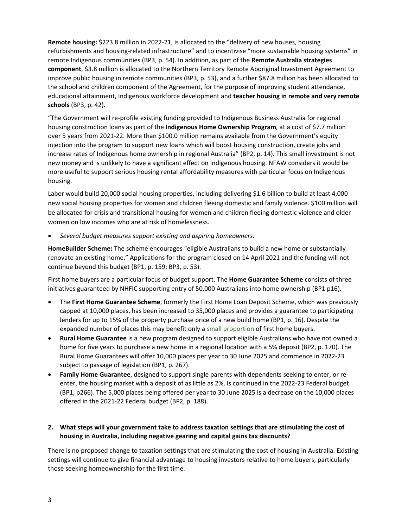**Remote housing:** \$223.8 million in 2022-21, is allocated to the "delivery of new houses, housing refurbishments and housing-related infrastructure" and to incentivise "more sustainable housing systems" in remote Indigenous communities (BP3, p. 54). In addition, as part of the **Remote Australia strategies**  improve public housing in remote communities (BP3, p. 53), and a further \$87.8 million has been allocated to educational attainment, Indigenous workforce development and **teacher housing in remote and very remote schools** (BP3, p. 42). **component**, \$3.8 million is allocated to the Northern Territory Remote Aboriginal Investment Agreement to the school and children component of the Agreement, for the purpose of improving student attendance,

 "The Government will re-profile existing funding provided to Indigenous Business Australia for regional housing construction loans as part of the **Indigenous Home Ownership Program***,* at a cost of \$7.7 million over 5 years from 2021-22. More than \$100.0 million remains available from the Government's equity injection into the program to support new loans which will boost housing construction, create jobs and increase rates of Indigenous home ownership in regional Australia" (BP2, p. 14). This small investment is not new money and is unlikely to have a significant effect on Indigenous housing. NFAW considers it would be more useful to support serious housing rental affordability measures with particular focus on Indigenous housing.

 Labor would build 20,000 social housing properties, including delivering \$1.6 billion to build at least 4,000 new social housing properties for women and children fleeing domestic and family violence. \$100 million will be allocated for crisis and transitional housing for women and children fleeing domestic violence and older women on low incomes who are at risk of homelessness.

 • *Several budget measures support existing and aspiring homeowners:* 

 **HomeBuilder Scheme:** The scheme encourages "eligible Australians to build a new home or substantially renovate an existing home." Applications for the program closed on 14 April 2021 and the funding will not continue beyond this budget (BP1, p. 159; BP3, p. 53).

 First home buyers are a particular focus of budget support. The **Home Guarantee Scheme** consists of three initiatives guaranteed by NHFIC supporting entry of 50,000 Australians into home ownership (BP1 p16).

- • The **First Home Guarantee Scheme**, formerly the First Home Loan Deposit Scheme, which was previously capped at 10,000 places, has been increased to 35,000 places and provides a guarantee to participating lenders for up to 15% of the property purchase price of a new build home (BP1, p. 16). Despite the expanded number of places this may benefit only a [small proportion o](https://theconversation.com/budget-expands-deposit-scheme-for-first-home-buyers-a-second-best-option-with-risks-down-the-road-180242)f first home buyers.
- • **Rural Home Guarantee** is a new program designed to support eligible Australians who have not owned a home for five years to purchase a new home in a regional location with a 5% deposit (BP2, p. 170). The Rural Home Guarantees will offer 10,000 places per year to 30 June 2025 and commence in 2022-23 subject to passage of legislation (BP1, p. 267).
- • **Family Home Guarantee**, designed to support single parents with dependents seeking to enter, or re- enter, the housing market with a deposit of as little as 2%, is continued in the 2022-23 Federal budget (BP1, p266). The 5,000 places being offered per year to 30 June 2025 is a decrease on the 10,000 places offered in the 2021-22 Federal budget (BP2, p. 188).

# **2. What steps will your government take to address taxation settings that are stimulating the cost of housing in Australia, including negative gearing and capital gains tax discounts?**

 There is no proposed change to taxation settings that are stimulating the cost of housing in Australia. Existing settings will continue to give financial advantage to housing investors relative to home buyers, particularly those seeking homeownership for the first time.